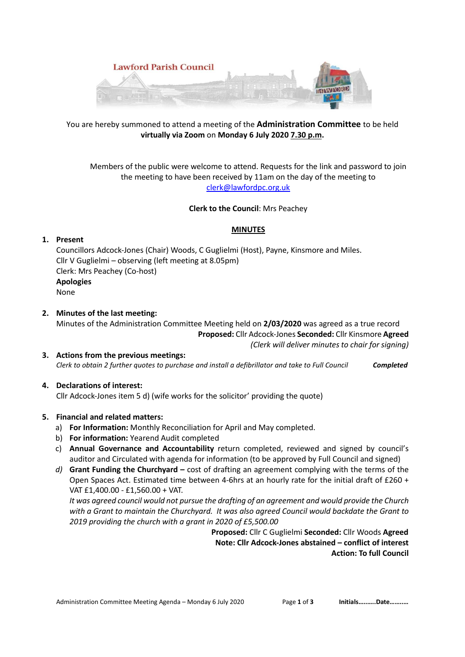

# You are hereby summoned to attend a meeting of the **Administration Committee** to be held **virtually via Zoom** on **Monday 6 July 2020 7.30 p.m.**

Members of the public were welcome to attend. Requests for the link and password to join the meeting to have been received by 11am on the day of the meeting to clerk@lawfordpc.org.uk

# **Clerk to the Council**: Mrs Peachey

#### **MINUTES**

# **1. Present**

Councillors Adcock-Jones (Chair) Woods, C Guglielmi (Host), Payne, Kinsmore and Miles. Cllr V Guglielmi – observing (left meeting at 8.05pm) Clerk: Mrs Peachey (Co-host) **Apologies**  None

- **2. Minutes of the last meeting:**  Minutes of the Administration Committee Meeting held on **2/03/2020** was agreed as a true record **Proposed:** Cllr Adcock-Jones **Seconded:** Cllr Kinsmore **Agreed**   *(Clerk will deliver minutes to chair for signing)*
- **3. Actions from the previous meetings:**  *Clerk to obtain 2 further quotes to purchase and install a defibrillator and take to Full Council Completed*

# **4. Declarations of interest:**

Cllr Adcock-Jones item 5 d) (wife works for the solicitor' providing the quote)

# **5. Financial and related matters:**

- a) **For Information:** Monthly Reconciliation for April and May completed.
- b) **For information:** Yearend Audit completed
- c) **Annual Governance and Accountability** return completed, reviewed and signed by council's auditor and Circulated with agenda for information (to be approved by Full Council and signed)
- *d)* **Grant Funding the Churchyard** cost of drafting an agreement complying with the terms of the Open Spaces Act. Estimated time between 4-6hrs at an hourly rate for the initial draft of £260 + VAT £1,400.00 - £1,560.00 + VAT.

*It was agreed council would not pursue the drafting of an agreement and would provide the Church with a Grant to maintain the Churchyard. It was also agreed Council would backdate the Grant to 2019 providing the church with a grant in 2020 of £5,500.00* 

> **Proposed:** Cllr C Guglielmi **Seconded:** Cllr Woods **Agreed Note: Cllr Adcock-Jones abstained – conflict of interest Action: To full Council**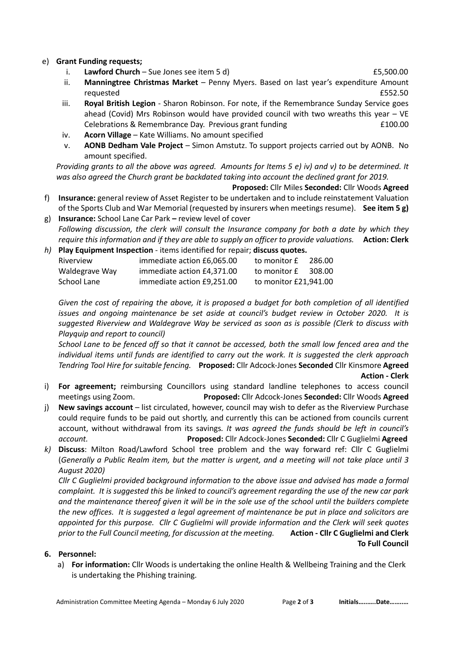# e) **Grant Funding requests;**

- i. **Lawford Church** Sue Jones see item 5 d) **EXECUTER 10** E5,500.00
- ii. **Manningtree Christmas Market** Penny Myers. Based on last year's expenditure Amount requested **E552.50**
- iii. **Royal British Legion** Sharon Robinson. For note, if the Remembrance Sunday Service goes ahead (Covid) Mrs Robinson would have provided council with two wreaths this year – VE Celebrations & Remembrance Day. Previous grant funding  $\qquad 2100.00$
- iv. **Acorn Village** Kate Williams. No amount specified
- v. **AONB Dedham Vale Project** Simon Amstutz. To support projects carried out by AONB. No amount specified.

*Providing grants to all the above was agreed. Amounts for Items 5 e) iv) and v) to be determined. It was also agreed the Church grant be backdated taking into account the declined grant for 2019.* 

- **Proposed:** Cllr Miles **Seconded:** Cllr Woods **Agreed** f) **Insurance:** general review of Asset Register to be undertaken and to include reinstatement Valuation of the Sports Club and War Memorial (requested by insurers when meetings resume). **See item 5 g)**
- g) **Insurance:** School Lane Car Parkreview level of cover *Following discussion, the clerk will consult the Insurance company for both a date by which they require this information and if they are able to supply an officer to provide valuations.* **Action: Clerk**
- *h)* **Play Equipment Inspection** items identified for repair; **discuss quotes.** Riverview immediate action £6,065.00 to monitor £ 286.00 Waldegrave Way immediate action  $£4.371.00$  to monitor  $£$  308.00 School Lane immediate action £9,251.00 to monitor £21,941.00

*Given the cost of repairing the above, it is proposed a budget for both completion of all identified issues and ongoing maintenance be set aside at council's budget review in October 2020. It is suggested Riverview and Waldegrave Way be serviced as soon as is possible (Clerk to discuss with Playquip and report to council)* 

*School Lane to be fenced off so that it cannot be accessed, both the small low fenced area and the individual items until funds are identified to carry out the work. It is suggested the clerk approach Tendring Tool Hire for suitable fencing.* **Proposed:** Cllr Adcock-Jones **Seconded** Cllr Kinsmore **Agreed**

#### **Action - Clerk**

- i) **For agreement;** reimbursing Councillors using standard landline telephones to access council meetings using Zoom. **Proposed:** Cllr Adcock-Jones **Seconded:** Cllr Woods **Agreed**
- j) **New savings account** list circulated, however, council may wish to defer as the Riverview Purchase could require funds to be paid out shortly, and currently this can be actioned from councils current account, without withdrawal from its savings*. It was agreed the funds should be left in council's account.* **Proposed:** Cllr Adcock-Jones **Seconded:** Cllr C Guglielmi **Agreed**
- *k)* **Discuss**: Milton Road/Lawford School tree problem and the way forward ref: Cllr C Guglielmi (*Generally a Public Realm item, but the matter is urgent, and a meeting will not take place until 3 August 2020)*

*Cllr C Guglielmi provided background information to the above issue and advised has made a formal complaint. It is suggested this be linked to council's agreement regarding the use of the new car park and the maintenance thereof given it will be in the sole use of the school until the builders complete the new offices. It is suggested a legal agreement of maintenance be put in place and solicitors are appointed for this purpose. Cllr C Guglielmi will provide information and the Clerk will seek quotes prior to the Full Council meeting, for discussion at the meeting.* **Action - Cllr C Guglielmi and Clerk To Full Council**

# **6. Personnel:**

a) **For information:** Cllr Woods is undertaking the online Health & Wellbeing Training and the Clerk is undertaking the Phishing training.